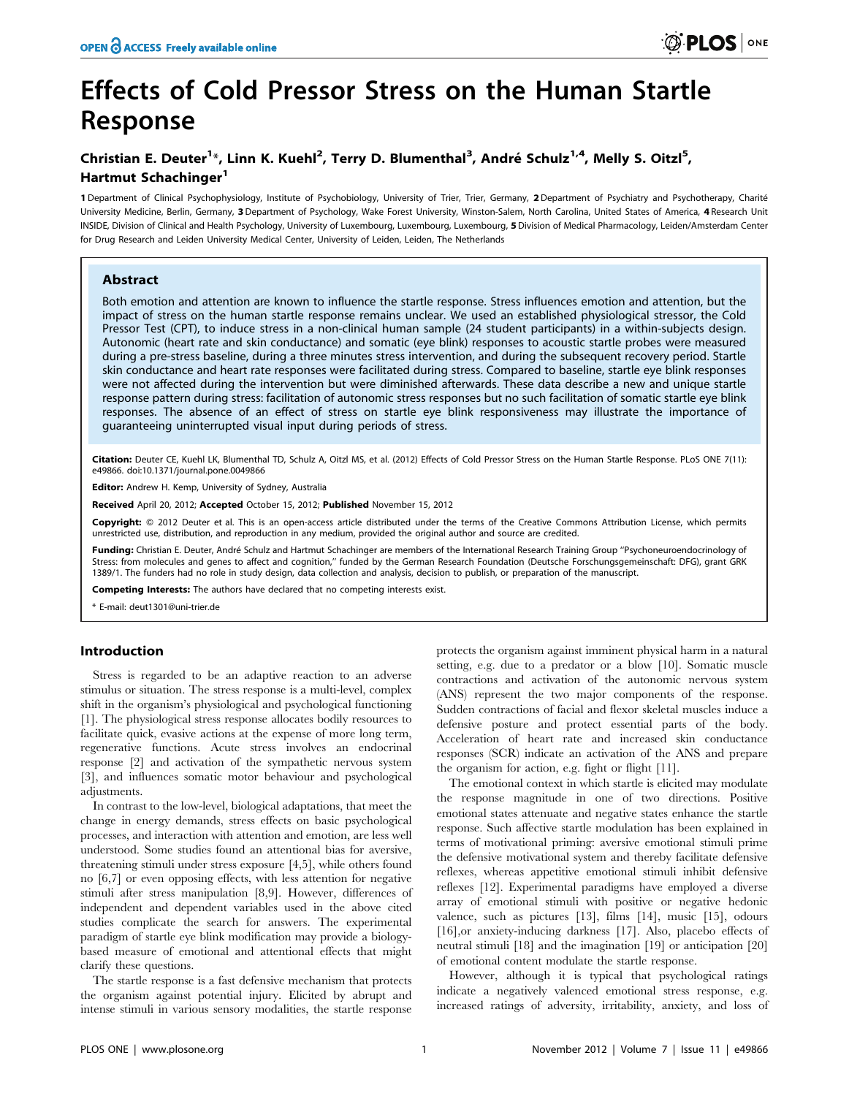# Effects of Cold Pressor Stress on the Human Startle Response

# Christian E. Deuter<sup>1\*</sup>, Linn K. Kuehl<sup>2</sup>, Terry D. Blumenthal<sup>3</sup>, André Schulz<sup>1,4</sup>, Melly S. Oitzl<sup>5</sup>, Hartmut Schachinger<sup>1</sup>

1 Department of Clinical Psychophysiology, Institute of Psychobiology, University of Trier, Trier, Germany, 2 Department of Psychiatry and Psychotherapy, Charité University Medicine, Berlin, Germany, 3Department of Psychology, Wake Forest University, Winston-Salem, North Carolina, United States of America, 4 Research Unit INSIDE, Division of Clinical and Health Psychology, University of Luxembourg, Luxembourg, Luxembourg, 5 Division of Medical Pharmacology, Leiden/Amsterdam Center for Drug Research and Leiden University Medical Center, University of Leiden, Leiden, The Netherlands

# Abstract

Both emotion and attention are known to influence the startle response. Stress influences emotion and attention, but the impact of stress on the human startle response remains unclear. We used an established physiological stressor, the Cold Pressor Test (CPT), to induce stress in a non-clinical human sample (24 student participants) in a within-subjects design. Autonomic (heart rate and skin conductance) and somatic (eye blink) responses to acoustic startle probes were measured during a pre-stress baseline, during a three minutes stress intervention, and during the subsequent recovery period. Startle skin conductance and heart rate responses were facilitated during stress. Compared to baseline, startle eye blink responses were not affected during the intervention but were diminished afterwards. These data describe a new and unique startle response pattern during stress: facilitation of autonomic stress responses but no such facilitation of somatic startle eye blink responses. The absence of an effect of stress on startle eye blink responsiveness may illustrate the importance of guaranteeing uninterrupted visual input during periods of stress.

Citation: Deuter CE, Kuehl LK, Blumenthal TD, Schulz A, Oitzl MS, et al. (2012) Effects of Cold Pressor Stress on the Human Startle Response. PLoS ONE 7(11): e49866. doi:10.1371/journal.pone.0049866

Editor: Andrew H. Kemp, University of Sydney, Australia

Received April 20, 2012; Accepted October 15, 2012; Published November 15, 2012

Copyright: © 2012 Deuter et al. This is an open-access article distributed under the terms of the Creative Commons Attribution License, which permits unrestricted use, distribution, and reproduction in any medium, provided the original author and source are credited.

Funding: Christian E. Deuter, André Schulz and Hartmut Schachinger are members of the International Research Training Group "Psychoneuroendocrinology of Stress: from molecules and genes to affect and cognition,'' funded by the German Research Foundation (Deutsche Forschungsgemeinschaft: DFG), grant GRK 1389/1. The funders had no role in study design, data collection and analysis, decision to publish, or preparation of the manuscript.

Competing Interests: The authors have declared that no competing interests exist.

\* E-mail: deut1301@uni-trier.de

# Introduction

Stress is regarded to be an adaptive reaction to an adverse stimulus or situation. The stress response is a multi-level, complex shift in the organism's physiological and psychological functioning [1]. The physiological stress response allocates bodily resources to facilitate quick, evasive actions at the expense of more long term, regenerative functions. Acute stress involves an endocrinal response [2] and activation of the sympathetic nervous system [3], and influences somatic motor behaviour and psychological adjustments.

In contrast to the low-level, biological adaptations, that meet the change in energy demands, stress effects on basic psychological processes, and interaction with attention and emotion, are less well understood. Some studies found an attentional bias for aversive, threatening stimuli under stress exposure [4,5], while others found no [6,7] or even opposing effects, with less attention for negative stimuli after stress manipulation [8,9]. However, differences of independent and dependent variables used in the above cited studies complicate the search for answers. The experimental paradigm of startle eye blink modification may provide a biologybased measure of emotional and attentional effects that might clarify these questions.

The startle response is a fast defensive mechanism that protects the organism against potential injury. Elicited by abrupt and intense stimuli in various sensory modalities, the startle response protects the organism against imminent physical harm in a natural setting, e.g. due to a predator or a blow [10]. Somatic muscle contractions and activation of the autonomic nervous system (ANS) represent the two major components of the response. Sudden contractions of facial and flexor skeletal muscles induce a defensive posture and protect essential parts of the body. Acceleration of heart rate and increased skin conductance responses (SCR) indicate an activation of the ANS and prepare the organism for action, e.g. fight or flight [11].

The emotional context in which startle is elicited may modulate the response magnitude in one of two directions. Positive emotional states attenuate and negative states enhance the startle response. Such affective startle modulation has been explained in terms of motivational priming: aversive emotional stimuli prime the defensive motivational system and thereby facilitate defensive reflexes, whereas appetitive emotional stimuli inhibit defensive reflexes [12]. Experimental paradigms have employed a diverse array of emotional stimuli with positive or negative hedonic valence, such as pictures [13], films [14], music [15], odours [16],or anxiety-inducing darkness [17]. Also, placebo effects of neutral stimuli [18] and the imagination [19] or anticipation [20] of emotional content modulate the startle response.

However, although it is typical that psychological ratings indicate a negatively valenced emotional stress response, e.g. increased ratings of adversity, irritability, anxiety, and loss of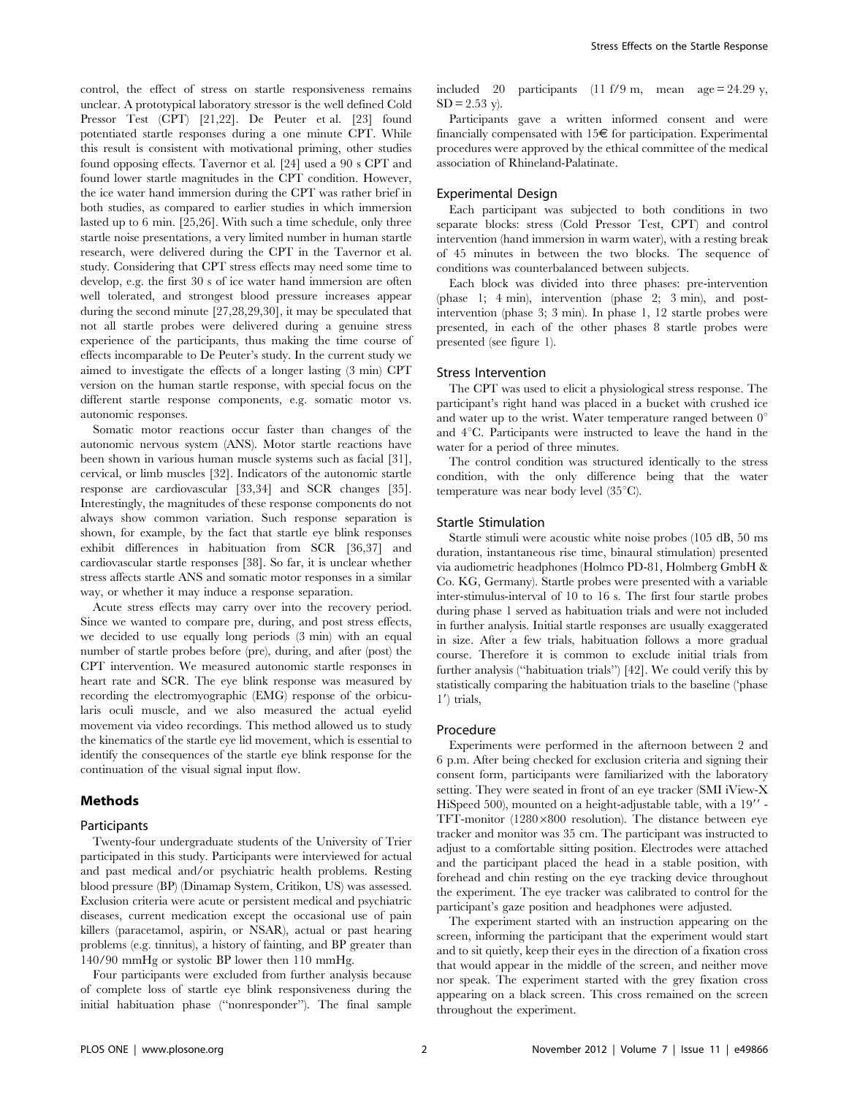control, the effect of stress on startle responsiveness remains unclear. A prototypical laboratory stressor is the well defined Cold Pressor Test (CPT) [21,22]. De Peuter et al. [23] found potentiated startle responses during a one minute CPT. While this result is consistent with motivational priming, other studies found opposing effects. Tavernor et al. [24] used a 90 s CPT and found lower startle magnitudes in the CPT condition. However, the ice water hand immersion during the CPT was rather brief in both studies, as compared to earlier studies in which immersion lasted up to 6 min. [25,26]. With such a time schedule, only three startle noise presentations, a very limited number in human startle research, were delivered during the CPT in the Tavernor et al. study. Considering that CPT stress effects may need some time to develop, e.g. the first 30 s of ice water hand immersion are often well tolerated, and strongest blood pressure increases appear during the second minute [27,28,29,30], it may be speculated that not all startle probes were delivered during a genuine stress experience of the participants, thus making the time course of effects incomparable to De Peuter's study. In the current study we aimed to investigate the effects of a longer lasting (3 min) CPT version on the human startle response, with special focus on the different startle response components, e.g. somatic motor vs. autonomic responses.

Somatic motor reactions occur faster than changes of the autonomic nervous system (ANS). Motor startle reactions have been shown in various human muscle systems such as facial [31], cervical, or limb muscles [32]. Indicators of the autonomic startle response are cardiovascular [33,34] and SCR changes [35]. Interestingly, the magnitudes of these response components do not always show common variation. Such response separation is shown, for example, by the fact that startle eye blink responses exhibit differences in habituation from SCR [36,37] and cardiovascular startle responses [38]. So far, it is unclear whether stress affects startle ANS and somatic motor responses in a similar way, or whether it may induce a response separation.

Acute stress effects may carry over into the recovery period. Since we wanted to compare pre, during, and post stress effects, we decided to use equally long periods (3 min) with an equal number of startle probes before (pre), during, and after (post) the CPT intervention. We measured autonomic startle responses in heart rate and SCR. The eye blink response was measured by recording the electromyographic (EMG) response of the orbicularis oculi muscle, and we also measured the actual eyelid movement via video recordings. This method allowed us to study the kinematics of the startle eye lid movement, which is essential to identify the consequences of the startle eye blink response for the continuation of the visual signal input flow.

# Methods

## Participants

Twenty-four undergraduate students of the University of Trier participated in this study. Participants were interviewed for actual and past medical and/or psychiatric health problems. Resting blood pressure (BP) (Dinamap System, Critikon, US) was assessed. Exclusion criteria were acute or persistent medical and psychiatric diseases, current medication except the occasional use of pain killers (paracetamol, aspirin, or NSAR), actual or past hearing problems (e.g. tinnitus), a history of fainting, and BP greater than 140/90 mmHg or systolic BP lower then 110 mmHg.

Four participants were excluded from further analysis because of complete loss of startle eye blink responsiveness during the initial habituation phase (''nonresponder''). The final sample included 20 participants (11 f/9 m, mean age = 24.29 y,  $SD = 2.53$  y).

Participants gave a written informed consent and were financially compensated with  $15 \in$  for participation. Experimental procedures were approved by the ethical committee of the medical association of Rhineland-Palatinate.

# Experimental Design

Each participant was subjected to both conditions in two separate blocks: stress (Cold Pressor Test, CPT) and control intervention (hand immersion in warm water), with a resting break of 45 minutes in between the two blocks. The sequence of conditions was counterbalanced between subjects.

Each block was divided into three phases: pre-intervention (phase 1; 4 min), intervention (phase 2; 3 min), and postintervention (phase 3; 3 min). In phase 1, 12 startle probes were presented, in each of the other phases 8 startle probes were presented (see figure 1).

# Stress Intervention

The CPT was used to elicit a physiological stress response. The participant's right hand was placed in a bucket with crushed ice and water up to the wrist. Water temperature ranged between  $0^{\circ}$ and  $4^{\circ}$ C. Participants were instructed to leave the hand in the water for a period of three minutes.

The control condition was structured identically to the stress condition, with the only difference being that the water temperature was near body level  $(35^{\circ}C)$ .

## Startle Stimulation

Startle stimuli were acoustic white noise probes (105 dB, 50 ms duration, instantaneous rise time, binaural stimulation) presented via audiometric headphones (Holmco PD-81, Holmberg GmbH & Co. KG, Germany). Startle probes were presented with a variable inter-stimulus-interval of 10 to 16 s. The first four startle probes during phase 1 served as habituation trials and were not included in further analysis. Initial startle responses are usually exaggerated in size. After a few trials, habituation follows a more gradual course. Therefore it is common to exclude initial trials from further analysis (''habituation trials'') [42]. We could verify this by statistically comparing the habituation trials to the baseline ('phase  $1'$ ) trials,

### Procedure

Experiments were performed in the afternoon between 2 and 6 p.m. After being checked for exclusion criteria and signing their consent form, participants were familiarized with the laboratory setting. They were seated in front of an eye tracker (SMI iView-X HiSpeed 500), mounted on a height-adjustable table, with a 19'' -TFT-monitor  $(1280\times800$  resolution). The distance between eye tracker and monitor was 35 cm. The participant was instructed to adjust to a comfortable sitting position. Electrodes were attached and the participant placed the head in a stable position, with forehead and chin resting on the eye tracking device throughout the experiment. The eye tracker was calibrated to control for the participant's gaze position and headphones were adjusted.

The experiment started with an instruction appearing on the screen, informing the participant that the experiment would start and to sit quietly, keep their eyes in the direction of a fixation cross that would appear in the middle of the screen, and neither move nor speak. The experiment started with the grey fixation cross appearing on a black screen. This cross remained on the screen throughout the experiment.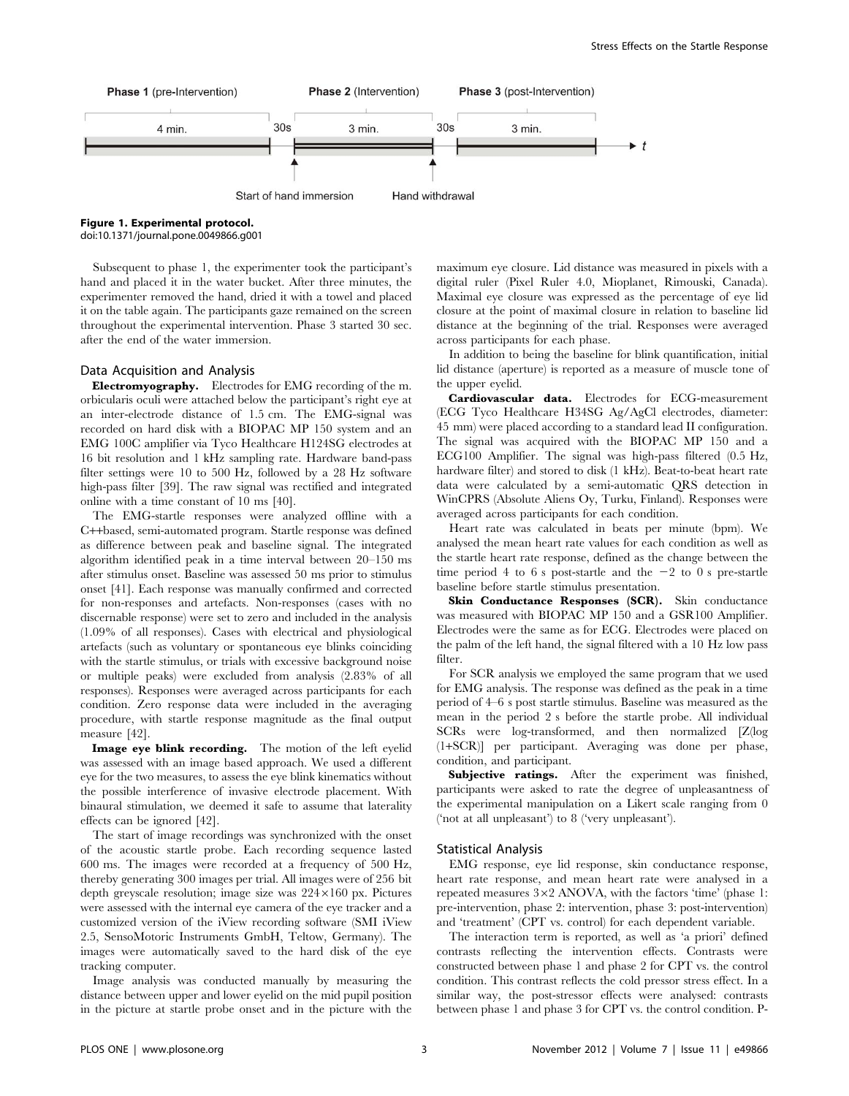

Figure 1. Experimental protocol. doi:10.1371/journal.pone.0049866.g001

Subsequent to phase 1, the experimenter took the participant's hand and placed it in the water bucket. After three minutes, the experimenter removed the hand, dried it with a towel and placed it on the table again. The participants gaze remained on the screen throughout the experimental intervention. Phase 3 started 30 sec. after the end of the water immersion.

# Data Acquisition and Analysis

Electromyography. Electrodes for EMG recording of the m. orbicularis oculi were attached below the participant's right eye at an inter-electrode distance of 1.5 cm. The EMG-signal was recorded on hard disk with a BIOPAC MP 150 system and an EMG 100C amplifier via Tyco Healthcare H124SG electrodes at 16 bit resolution and 1 kHz sampling rate. Hardware band-pass filter settings were 10 to 500 Hz, followed by a 28 Hz software high-pass filter [39]. The raw signal was rectified and integrated online with a time constant of 10 ms [40].

The EMG-startle responses were analyzed offline with a C++based, semi-automated program. Startle response was defined as difference between peak and baseline signal. The integrated algorithm identified peak in a time interval between 20–150 ms after stimulus onset. Baseline was assessed 50 ms prior to stimulus onset [41]. Each response was manually confirmed and corrected for non-responses and artefacts. Non-responses (cases with no discernable response) were set to zero and included in the analysis (1.09% of all responses). Cases with electrical and physiological artefacts (such as voluntary or spontaneous eye blinks coinciding with the startle stimulus, or trials with excessive background noise or multiple peaks) were excluded from analysis (2.83% of all responses). Responses were averaged across participants for each condition. Zero response data were included in the averaging procedure, with startle response magnitude as the final output measure [42].

Image eye blink recording. The motion of the left eyelid was assessed with an image based approach. We used a different eye for the two measures, to assess the eye blink kinematics without the possible interference of invasive electrode placement. With binaural stimulation, we deemed it safe to assume that laterality effects can be ignored [42].

The start of image recordings was synchronized with the onset of the acoustic startle probe. Each recording sequence lasted 600 ms. The images were recorded at a frequency of 500 Hz, thereby generating 300 images per trial. All images were of 256 bit depth greyscale resolution; image size was  $224 \times 160$  px. Pictures were assessed with the internal eye camera of the eye tracker and a customized version of the iView recording software (SMI iView 2.5, SensoMotoric Instruments GmbH, Teltow, Germany). The images were automatically saved to the hard disk of the eye tracking computer.

Image analysis was conducted manually by measuring the distance between upper and lower eyelid on the mid pupil position in the picture at startle probe onset and in the picture with the maximum eye closure. Lid distance was measured in pixels with a digital ruler (Pixel Ruler 4.0, Mioplanet, Rimouski, Canada). Maximal eye closure was expressed as the percentage of eye lid closure at the point of maximal closure in relation to baseline lid distance at the beginning of the trial. Responses were averaged across participants for each phase.

In addition to being the baseline for blink quantification, initial lid distance (aperture) is reported as a measure of muscle tone of the upper eyelid.

Cardiovascular data. Electrodes for ECG-measurement (ECG Tyco Healthcare H34SG Ag/AgCl electrodes, diameter: 45 mm) were placed according to a standard lead II configuration. The signal was acquired with the BIOPAC MP 150 and a ECG100 Amplifier. The signal was high-pass filtered (0.5 Hz, hardware filter) and stored to disk (1 kHz). Beat-to-beat heart rate data were calculated by a semi-automatic QRS detection in WinCPRS (Absolute Aliens Oy, Turku, Finland). Responses were averaged across participants for each condition.

Heart rate was calculated in beats per minute (bpm). We analysed the mean heart rate values for each condition as well as the startle heart rate response, defined as the change between the time period 4 to 6 s post-startle and the  $-2$  to 0 s pre-startle baseline before startle stimulus presentation.

Skin Conductance Responses (SCR). Skin conductance was measured with BIOPAC MP 150 and a GSR100 Amplifier. Electrodes were the same as for ECG. Electrodes were placed on the palm of the left hand, the signal filtered with a 10 Hz low pass filter.

For SCR analysis we employed the same program that we used for EMG analysis. The response was defined as the peak in a time period of 4–6 s post startle stimulus. Baseline was measured as the mean in the period 2 s before the startle probe. All individual SCRs were log-transformed, and then normalized [Z(log (1+SCR)] per participant. Averaging was done per phase, condition, and participant.

Subjective ratings. After the experiment was finished, participants were asked to rate the degree of unpleasantness of the experimental manipulation on a Likert scale ranging from 0 ('not at all unpleasant') to 8 ('very unpleasant').

### Statistical Analysis

EMG response, eye lid response, skin conductance response, heart rate response, and mean heart rate were analysed in a repeated measures  $3\times2$  ANOVA, with the factors 'time' (phase 1: pre-intervention, phase 2: intervention, phase 3: post-intervention) and 'treatment' (CPT vs. control) for each dependent variable.

The interaction term is reported, as well as 'a priori' defined contrasts reflecting the intervention effects. Contrasts were constructed between phase 1 and phase 2 for CPT vs. the control condition. This contrast reflects the cold pressor stress effect. In a similar way, the post-stressor effects were analysed: contrasts between phase 1 and phase 3 for CPT vs. the control condition. P-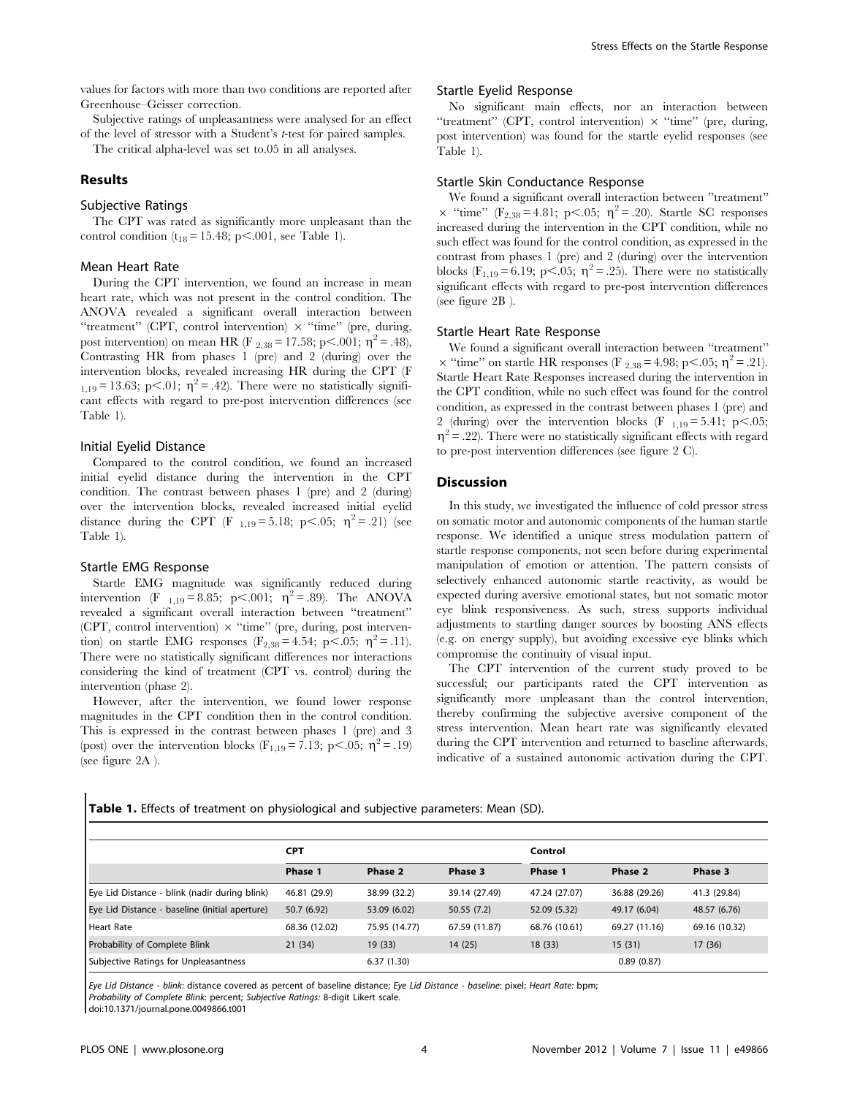values for factors with more than two conditions are reported after Greenhouse–Geisser correction.

Subjective ratings of unpleasantness were analysed for an effect of the level of stressor with a Student's t-test for paired samples.

The critical alpha-level was set to.05 in all analyses.

# Results

## Subjective Ratings

The CPT was rated as significantly more unpleasant than the control condition ( $t_{18} = 15.48$ ; p<.001, see Table 1).

## Mean Heart Rate

During the CPT intervention, we found an increase in mean heart rate, which was not present in the control condition. The ANOVA revealed a significant overall interaction between "treatment" (CPT, control intervention)  $\times$  "time" (pre, during, post intervention) on mean HR (F  $_{2,38}$  = 17.58; p<.001;  $\eta^2$  = .48), Contrasting HR from phases 1 (pre) and 2 (during) over the intervention blocks, revealed increasing HR during the CPT (F  $_{1,19}$  = 13.63; p<.01;  $\eta^2$  = .42). There were no statistically significant effects with regard to pre-post intervention differences (see Table 1).

## Initial Eyelid Distance

Compared to the control condition, we found an increased initial eyelid distance during the intervention in the CPT condition. The contrast between phases 1 (pre) and 2 (during) over the intervention blocks, revealed increased initial eyelid distance during the CPT (F  $_{1,19} = 5.18$ ; p $\lt$ .05;  $\eta^2 = .21$ ) (see Table 1).

# Startle EMG Response

Startle EMG magnitude was significantly reduced during intervention (F <sub>1,19</sub> = 8.85; p<.001;  $\eta^2$  = .89). The ANOVA revealed a significant overall interaction between ''treatment'' (CPT, control intervention)  $\times$  "time" (pre, during, post intervention) on startle EMG responses ( $F_{2,38}$  = 4.54; p<.05;  $\eta^2$  = .11). There were no statistically significant differences nor interactions considering the kind of treatment (CPT vs. control) during the intervention (phase 2).

However, after the intervention, we found lower response magnitudes in the CPT condition then in the control condition. This is expressed in the contrast between phases 1 (pre) and 3 (post) over the intervention blocks ( $F_{1,19} = 7.13$ ; p $< .05$ ;  $\eta^2 = .19$ ) (see figure 2A ).

# Startle Eyelid Response

No significant main effects, nor an interaction between "treatment" (CPT, control intervention)  $\times$  "time" (pre, during, post intervention) was found for the startle eyelid responses (see Table 1).

## Startle Skin Conductance Response

We found a significant overall interaction between ''treatment''  $\times$  "time" (F<sub>2,38</sub>= 4.81; p<.05;  $\eta^2$  = .20). Startle SC responses increased during the intervention in the CPT condition, while no such effect was found for the control condition, as expressed in the contrast from phases 1 (pre) and 2 (during) over the intervention blocks (F<sub>1,19</sub> = 6.19; p<.05;  $\eta^2$  = .25). There were no statistically significant effects with regard to pre-post intervention differences (see figure 2B ).

## Startle Heart Rate Response

We found a significant overall interaction between ''treatment''  $\times$  "time" on startle HR responses (F <sub>2,38</sub> = 4.98; p<.05;  $\eta^2$  = .21). Startle Heart Rate Responses increased during the intervention in the CPT condition, while no such effect was found for the control condition, as expressed in the contrast between phases 1 (pre) and 2 (during) over the intervention blocks (F  $_{1,19} = 5.41$ ; p $< .05$ ;  $\eta^2$  = .22). There were no statistically significant effects with regard to pre-post intervention differences (see figure 2 C).

# **Discussion**

In this study, we investigated the influence of cold pressor stress on somatic motor and autonomic components of the human startle response. We identified a unique stress modulation pattern of startle response components, not seen before during experimental manipulation of emotion or attention. The pattern consists of selectively enhanced autonomic startle reactivity, as would be expected during aversive emotional states, but not somatic motor eye blink responsiveness. As such, stress supports individual adjustments to startling danger sources by boosting ANS effects (e.g. on energy supply), but avoiding excessive eye blinks which compromise the continuity of visual input.

The CPT intervention of the current study proved to be successful; our participants rated the CPT intervention as significantly more unpleasant than the control intervention, thereby confirming the subjective aversive component of the stress intervention. Mean heart rate was significantly elevated during the CPT intervention and returned to baseline afterwards, indicative of a sustained autonomic activation during the CPT.

| Table 1. Effects of treatment on physiological and subjective parameters: Mean (SD). |  |  |  |  |
|--------------------------------------------------------------------------------------|--|--|--|--|
|--------------------------------------------------------------------------------------|--|--|--|--|

|                                                | <b>CPT</b>    |               |               | Control       |               |               |
|------------------------------------------------|---------------|---------------|---------------|---------------|---------------|---------------|
|                                                | Phase 1       | Phase 2       | Phase 3       | Phase 1       | Phase 2       | Phase 3       |
| Eye Lid Distance - blink (nadir during blink)  | 46.81 (29.9)  | 38.99 (32.2)  | 39.14 (27.49) | 47.24 (27.07) | 36.88 (29.26) | 41.3 (29.84)  |
| Eye Lid Distance - baseline (initial aperture) | 50.7 (6.92)   | 53.09 (6.02)  | 50.55(7.2)    | 52.09 (5.32)  | 49.17 (6.04)  | 48.57 (6.76)  |
| <b>Heart Rate</b>                              | 68.36 (12.02) | 75.95 (14.77) | 67.59 (11.87) | 68.76 (10.61) | 69.27 (11.16) | 69.16 (10.32) |
| Probability of Complete Blink                  | 21(34)        | 19 (33)       | 14(25)        | 18 (33)       | 15(31)        | 17(36)        |
| Subjective Ratings for Unpleasantness          |               | 6.37(1.30)    |               |               | 0.89(0.87)    |               |

Eye Lid Distance - blink: distance covered as percent of baseline distance; Eye Lid Distance - baseline: pixel; Heart Rate: bpm; Probability of Complete Blink: percent; Subjective Ratings: 8-digit Likert scale.

doi:10.1371/journal.pone.0049866.t001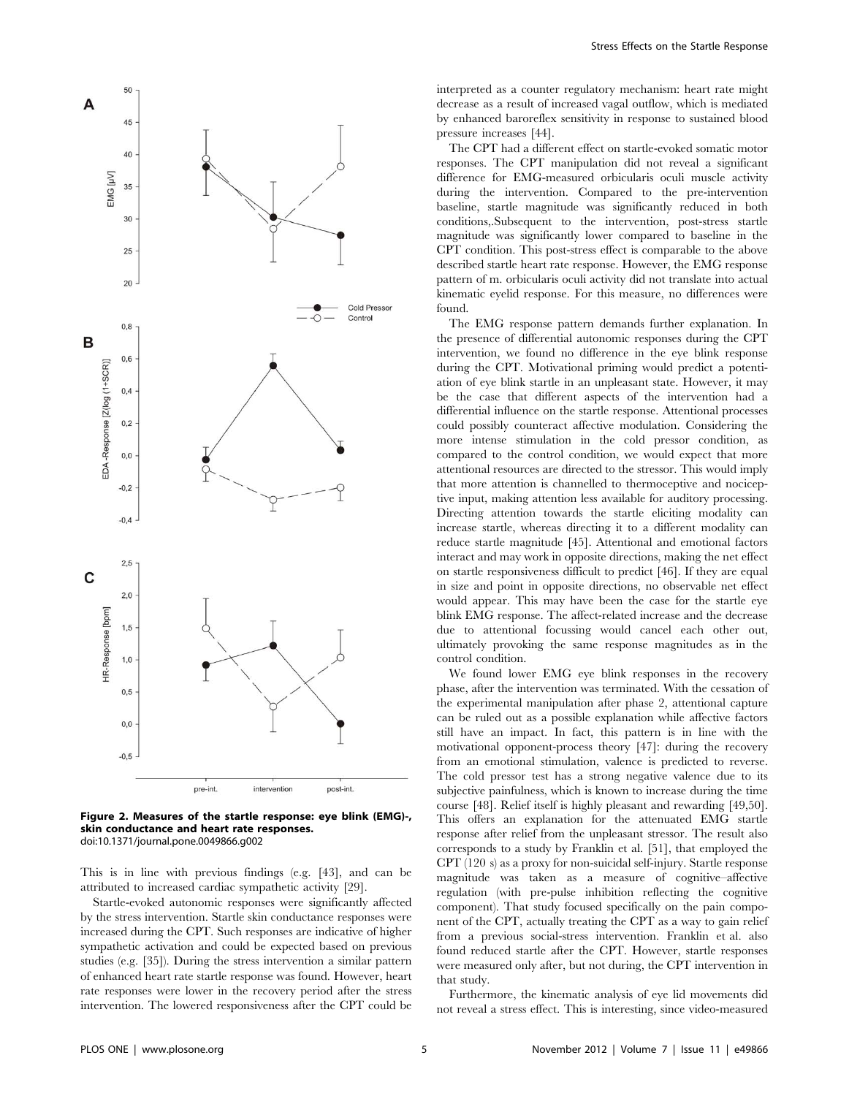

Figure 2. Measures of the startle response: eye blink (EMG)-, skin conductance and heart rate responses. doi:10.1371/journal.pone.0049866.g002

This is in line with previous findings (e.g. [43], and can be attributed to increased cardiac sympathetic activity [29].

Startle-evoked autonomic responses were significantly affected by the stress intervention. Startle skin conductance responses were increased during the CPT. Such responses are indicative of higher sympathetic activation and could be expected based on previous studies (e.g. [35]). During the stress intervention a similar pattern of enhanced heart rate startle response was found. However, heart rate responses were lower in the recovery period after the stress intervention. The lowered responsiveness after the CPT could be

interpreted as a counter regulatory mechanism: heart rate might decrease as a result of increased vagal outflow, which is mediated by enhanced baroreflex sensitivity in response to sustained blood pressure increases [44].

The CPT had a different effect on startle-evoked somatic motor responses. The CPT manipulation did not reveal a significant difference for EMG-measured orbicularis oculi muscle activity during the intervention. Compared to the pre-intervention baseline, startle magnitude was significantly reduced in both conditions,.Subsequent to the intervention, post-stress startle magnitude was significantly lower compared to baseline in the CPT condition. This post-stress effect is comparable to the above described startle heart rate response. However, the EMG response pattern of m. orbicularis oculi activity did not translate into actual kinematic eyelid response. For this measure, no differences were found.

The EMG response pattern demands further explanation. In the presence of differential autonomic responses during the CPT intervention, we found no difference in the eye blink response during the CPT. Motivational priming would predict a potentiation of eye blink startle in an unpleasant state. However, it may be the case that different aspects of the intervention had a differential influence on the startle response. Attentional processes could possibly counteract affective modulation. Considering the more intense stimulation in the cold pressor condition, as compared to the control condition, we would expect that more attentional resources are directed to the stressor. This would imply that more attention is channelled to thermoceptive and nociceptive input, making attention less available for auditory processing. Directing attention towards the startle eliciting modality can increase startle, whereas directing it to a different modality can reduce startle magnitude [45]. Attentional and emotional factors interact and may work in opposite directions, making the net effect on startle responsiveness difficult to predict [46]. If they are equal in size and point in opposite directions, no observable net effect would appear. This may have been the case for the startle eye blink EMG response. The affect-related increase and the decrease due to attentional focussing would cancel each other out, ultimately provoking the same response magnitudes as in the control condition.

We found lower EMG eye blink responses in the recovery phase, after the intervention was terminated. With the cessation of the experimental manipulation after phase 2, attentional capture can be ruled out as a possible explanation while affective factors still have an impact. In fact, this pattern is in line with the motivational opponent-process theory [47]: during the recovery from an emotional stimulation, valence is predicted to reverse. The cold pressor test has a strong negative valence due to its subjective painfulness, which is known to increase during the time course [48]. Relief itself is highly pleasant and rewarding [49,50]. This offers an explanation for the attenuated EMG startle response after relief from the unpleasant stressor. The result also corresponds to a study by Franklin et al. [51], that employed the CPT (120 s) as a proxy for non-suicidal self-injury. Startle response magnitude was taken as a measure of cognitive–affective regulation (with pre-pulse inhibition reflecting the cognitive component). That study focused specifically on the pain component of the CPT, actually treating the CPT as a way to gain relief from a previous social-stress intervention. Franklin et al. also found reduced startle after the CPT. However, startle responses were measured only after, but not during, the CPT intervention in that study.

Furthermore, the kinematic analysis of eye lid movements did not reveal a stress effect. This is interesting, since video-measured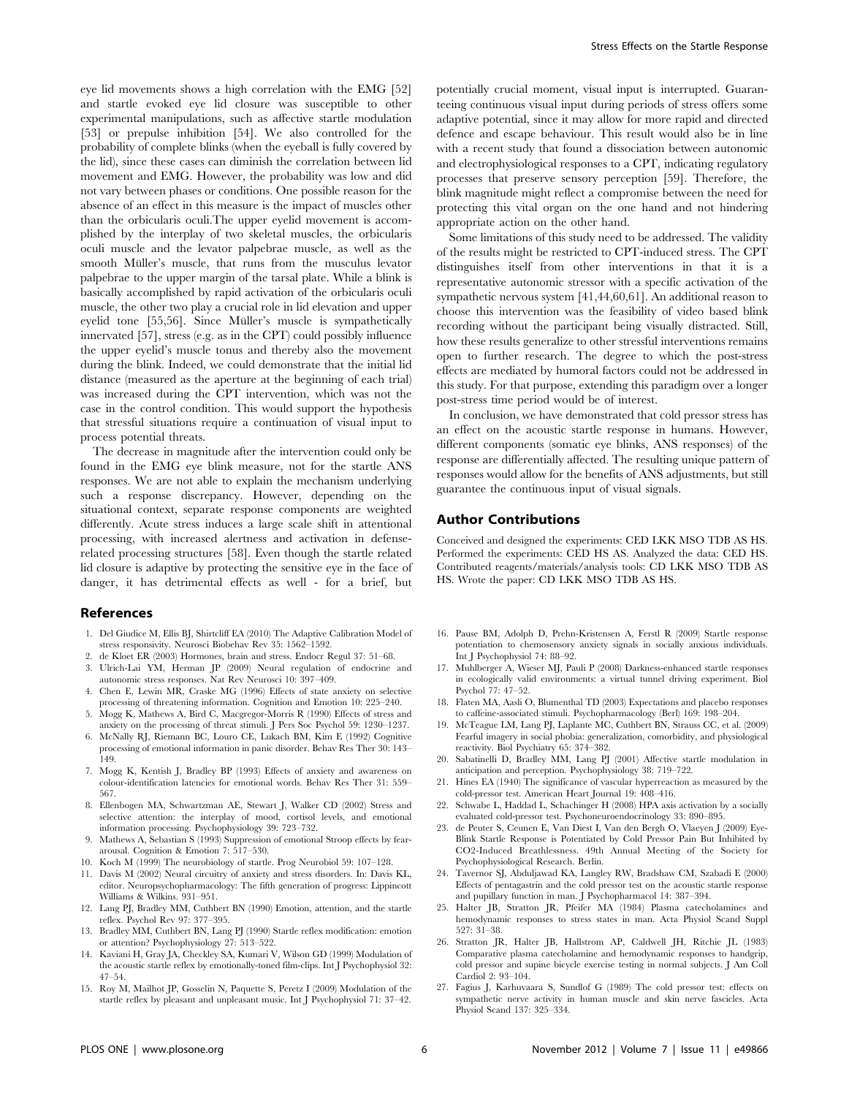eye lid movements shows a high correlation with the EMG [52] and startle evoked eye lid closure was susceptible to other experimental manipulations, such as affective startle modulation [53] or prepulse inhibition [54]. We also controlled for the probability of complete blinks (when the eyeball is fully covered by the lid), since these cases can diminish the correlation between lid movement and EMG. However, the probability was low and did not vary between phases or conditions. One possible reason for the absence of an effect in this measure is the impact of muscles other than the orbicularis oculi.The upper eyelid movement is accomplished by the interplay of two skeletal muscles, the orbicularis oculi muscle and the levator palpebrae muscle, as well as the smooth Müller's muscle, that runs from the musculus levator palpebrae to the upper margin of the tarsal plate. While a blink is basically accomplished by rapid activation of the orbicularis oculi muscle, the other two play a crucial role in lid elevation and upper eyelid tone [55,56]. Since Müller's muscle is sympathetically innervated [57], stress (e.g. as in the CPT) could possibly influence the upper eyelid's muscle tonus and thereby also the movement during the blink. Indeed, we could demonstrate that the initial lid distance (measured as the aperture at the beginning of each trial) was increased during the CPT intervention, which was not the case in the control condition. This would support the hypothesis that stressful situations require a continuation of visual input to process potential threats.

The decrease in magnitude after the intervention could only be found in the EMG eye blink measure, not for the startle ANS responses. We are not able to explain the mechanism underlying such a response discrepancy. However, depending on the situational context, separate response components are weighted differently. Acute stress induces a large scale shift in attentional processing, with increased alertness and activation in defenserelated processing structures [58]. Even though the startle related lid closure is adaptive by protecting the sensitive eye in the face of danger, it has detrimental effects as well - for a brief, but

## References

- 1. Del Giudice M, Ellis BJ, Shirtcliff EA (2010) The Adaptive Calibration Model of stress responsivity. Neurosci Biobehav Rev 35: 1562–1592.
- 2. de Kloet ER (2003) Hormones, brain and stress. Endocr Regul 37: 51–68.
- 3. Ulrich-Lai YM, Herman JP (2009) Neural regulation of endocrine and autonomic stress responses. Nat Rev Neurosci 10: 397–409.
- 4. Chen E, Lewin MR, Craske MG (1996) Effects of state anxiety on selective processing of threatening information. Cognition and Emotion 10: 225–240.
- 5. Mogg K, Mathews A, Bird C, Macgregor-Morris R (1990) Effects of stress and anxiety on the processing of threat stimuli. J Pers Soc Psychol 59: 1230–1237.
- 6. McNally RJ, Riemann BC, Louro CE, Lukach BM, Kim E (1992) Cognitive processing of emotional information in panic disorder. Behav Res Ther 30: 143– 149.
- 7. Mogg K, Kentish J, Bradley BP (1993) Effects of anxiety and awareness on colour-identification latencies for emotional words. Behav Res Ther 31: 559– 567.
- 8. Ellenbogen MA, Schwartzman AE, Stewart J, Walker CD (2002) Stress and selective attention: the interplay of mood, cortisol levels, and emotional information processing. Psychophysiology 39: 723–732.
- 9. Mathews A, Sebastian S (1993) Suppression of emotional Stroop effects by feararousal. Cognition & Emotion 7: 517–530.
- 10. Koch M (1999) The neurobiology of startle. Prog Neurobiol 59: 107–128.
- 11. Davis M (2002) Neural circuitry of anxiety and stress disorders. In: Davis KL, editor. Neuropsychopharmacology: The fifth generation of progress: Lippincott Williams & Wilkins. 931–951.
- 12. Lang PJ, Bradley MM, Cuthbert BN (1990) Emotion, attention, and the startle reflex. Psychol Rev 97: 377–395.
- 13. Bradley MM, Cuthbert BN, Lang PJ (1990) Startle reflex modification: emotion or attention? Psychophysiology 27: 513–522.
- 14. Kaviani H, Gray JA, Checkley SA, Kumari V, Wilson GD (1999) Modulation of 47–54.
- 
- the acoustic startle reflex by emotionally-toned film-clips. Int J Psychophysiol 32:

Stress Effects on the Startle Response

potentially crucial moment, visual input is interrupted. Guaranteeing continuous visual input during periods of stress offers some adaptive potential, since it may allow for more rapid and directed defence and escape behaviour. This result would also be in line with a recent study that found a dissociation between autonomic and electrophysiological responses to a CPT, indicating regulatory processes that preserve sensory perception [59]. Therefore, the blink magnitude might reflect a compromise between the need for protecting this vital organ on the one hand and not hindering appropriate action on the other hand.

Some limitations of this study need to be addressed. The validity of the results might be restricted to CPT-induced stress. The CPT distinguishes itself from other interventions in that it is a representative autonomic stressor with a specific activation of the sympathetic nervous system [41,44,60,61]. An additional reason to choose this intervention was the feasibility of video based blink recording without the participant being visually distracted. Still, how these results generalize to other stressful interventions remains open to further research. The degree to which the post-stress effects are mediated by humoral factors could not be addressed in this study. For that purpose, extending this paradigm over a longer post-stress time period would be of interest.

In conclusion, we have demonstrated that cold pressor stress has an effect on the acoustic startle response in humans. However, different components (somatic eye blinks, ANS responses) of the response are differentially affected. The resulting unique pattern of responses would allow for the benefits of ANS adjustments, but still guarantee the continuous input of visual signals.

## Author Contributions

Conceived and designed the experiments: CED LKK MSO TDB AS HS. Performed the experiments: CED HS AS. Analyzed the data: CED HS. Contributed reagents/materials/analysis tools: CD LKK MSO TDB AS HS. Wrote the paper: CD LKK MSO TDB AS HS.

- 16. Pause BM, Adolph D, Prehn-Kristensen A, Ferstl R (2009) Startle response potentiation to chemosensory anxiety signals in socially anxious individuals. Int J Psychophysiol 74: 88–92.
- 17. Muhlberger A, Wieser MJ, Pauli P (2008) Darkness-enhanced startle responses in ecologically valid environments: a virtual tunnel driving experiment. Biol Psychol 77: 47–52.
- 18. Flaten MA, Aasli O, Blumenthal TD (2003) Expectations and placebo responses to caffeine-associated stimuli. Psychopharmacology (Berl) 169: 198–204.
- 19. McTeague LM, Lang PJ, Laplante MC, Cuthbert BN, Strauss CC, et al. (2009) Fearful imagery in social phobia: generalization, comorbidity, and physiological reactivity. Biol Psychiatry 65: 374–382.
- 20. Sabatinelli D, Bradley MM, Lang PJ (2001) Affective startle modulation in anticipation and perception. Psychophysiology 38: 719–722.
- 21. Hines EA (1940) The significance of vascular hyperreaction as measured by the cold-pressor test. American Heart Journal 19: 408–416.
- 22. Schwabe L, Haddad L, Schachinger H (2008) HPA axis activation by a socially evaluated cold-pressor test. Psychoneuroendocrinology 33: 890–895.
- 23. de Peuter S, Ceunen E, Van Diest I, Van den Bergh O, Vlaeyen J (2009) Eye-Blink Startle Response is Potentiated by Cold Pressor Pain But Inhibited by CO2-Induced Breathlessness. 49th Annual Meeting of the Society for Psychophysiological Research. Berlin.
- 24. Tavernor SJ, Abduljawad KA, Langley RW, Bradshaw CM, Szabadi E (2000) Effects of pentagastrin and the cold pressor test on the acoustic startle response and pupillary function in man. J Psychopharmacol 14: 387–394.
- 25. Halter JB, Stratton JR, Pfeifer MA (1984) Plasma catecholamines and hemodynamic responses to stress states in man. Acta Physiol Scand Suppl 527: 31–38.
- 26. Stratton JR, Halter JB, Hallstrom AP, Caldwell JH, Ritchie JL (1983) Comparative plasma catecholamine and hemodynamic responses to handgrip, cold pressor and supine bicycle exercise testing in normal subjects. J Am Coll Cardiol 2: 93–104.
- 15. Roy M, Mailhot JP, Gosselin N, Paquette S, Peretz I (2009) Modulation of the startle reflex by pleasant and unpleasant music. Int J Psychophysiol 71: 37–42.
- 27. Fagius J, Karhuvaara S, Sundlof G (1989) The cold pressor test: effects on sympathetic nerve activity in human muscle and skin nerve fascicles. Acta Physiol Scand 137: 325–334.